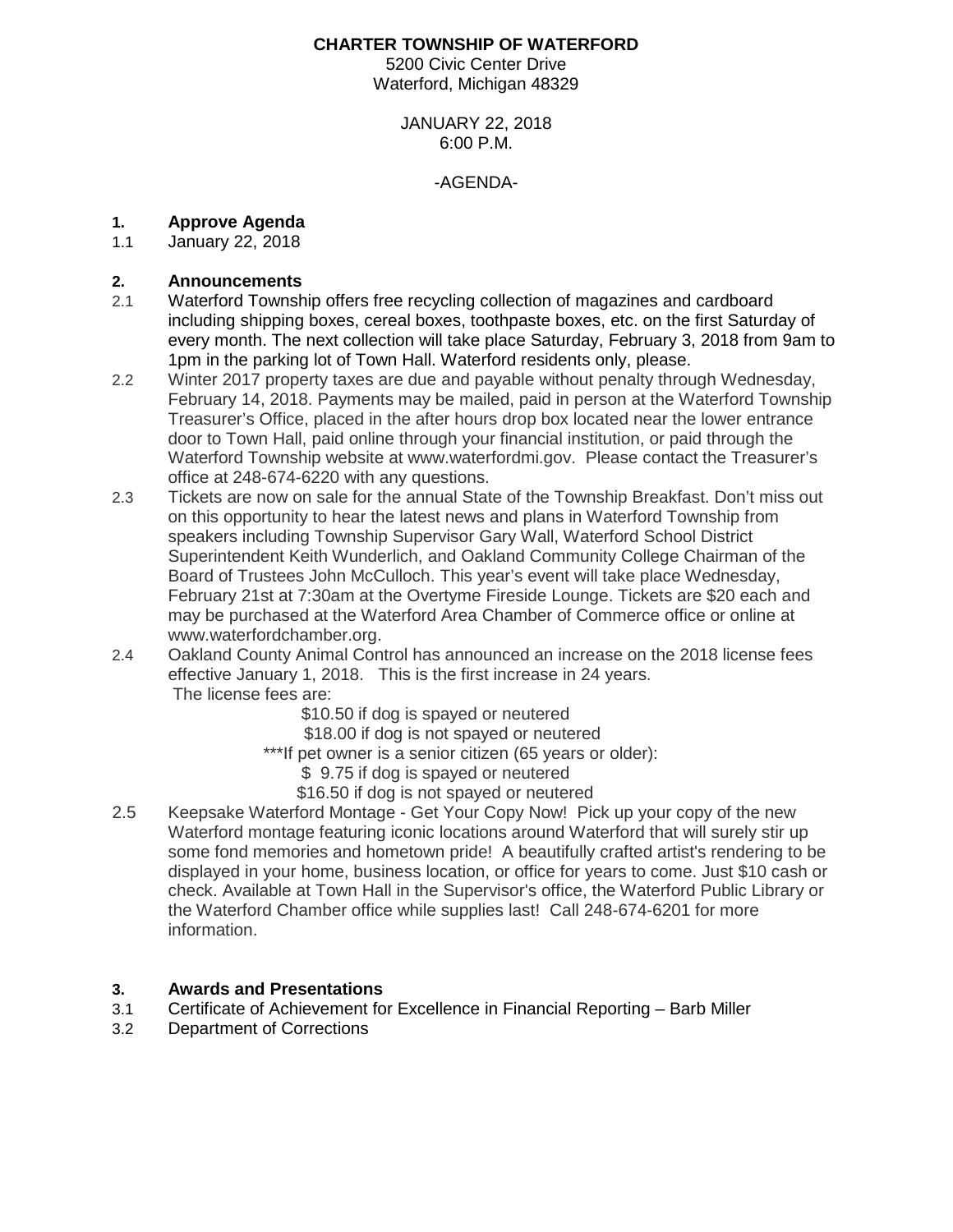#### **CHARTER TOWNSHIP OF WATERFORD**

5200 Civic Center Drive Waterford, Michigan 48329

#### JANUARY 22, 2018 6:00 P.M.

#### -AGENDA-

# **1. Approve Agenda**

January 22, 2018

### **2. Announcements**

- 2.1 Waterford Township offers free recycling collection of magazines and cardboard including shipping boxes, cereal boxes, toothpaste boxes, etc. on the first Saturday of every month. The next collection will take place Saturday, February 3, 2018 from 9am to 1pm in the parking lot of Town Hall. Waterford residents only, please.
- 2.2 Winter 2017 property taxes are due and payable without penalty through Wednesday, February 14, 2018. Payments may be mailed, paid in person at the Waterford Township Treasurer's Office, placed in the after hours drop box located near the lower entrance door to Town Hall, paid online through your financial institution, or paid through the Waterford Township website at www.waterfordmi.gov. Please contact the Treasurer's office at 248-674-6220 with any questions.
- 2.3 Tickets are now on sale for the annual State of the Township Breakfast. Don't miss out on this opportunity to hear the latest news and plans in Waterford Township from speakers including Township Supervisor Gary Wall, Waterford School District Superintendent Keith Wunderlich, and Oakland Community College Chairman of the Board of Trustees John McCulloch. This year's event will take place Wednesday, February 21st at 7:30am at the Overtyme Fireside Lounge. Tickets are \$20 each and may be purchased at the Waterford Area Chamber of Commerce office or online at www.waterfordchamber.org.
- 2.4 Oakland County Animal Control has announced an increase on the 2018 license fees effective January 1, 2018. This is the first increase in 24 years. The license fees are:
	- \$10.50 if dog is spayed or neutered
	- \$18.00 if dog is not spayed or neutered
	- \*\*\*If pet owner is a senior citizen (65 years or older):
		- \$ 9.75 if dog is spayed or neutered
		- \$16.50 if dog is not spayed or neutered
- 2.5 Keepsake Waterford Montage Get Your Copy Now! Pick up your copy of the new Waterford montage featuring iconic locations around Waterford that will surely stir up some fond memories and hometown pride! A beautifully crafted artist's rendering to be displayed in your home, business location, or office for years to come. Just \$10 cash or check. Available at Town Hall in the Supervisor's office, the Waterford Public Library or the Waterford Chamber office while supplies last! Call 248-674-6201 for more information.

#### **3. Awards and Presentations**

- 3.1 Certificate of Achievement for Excellence in Financial Reporting Barb Miller
- 3.2 Department of Corrections